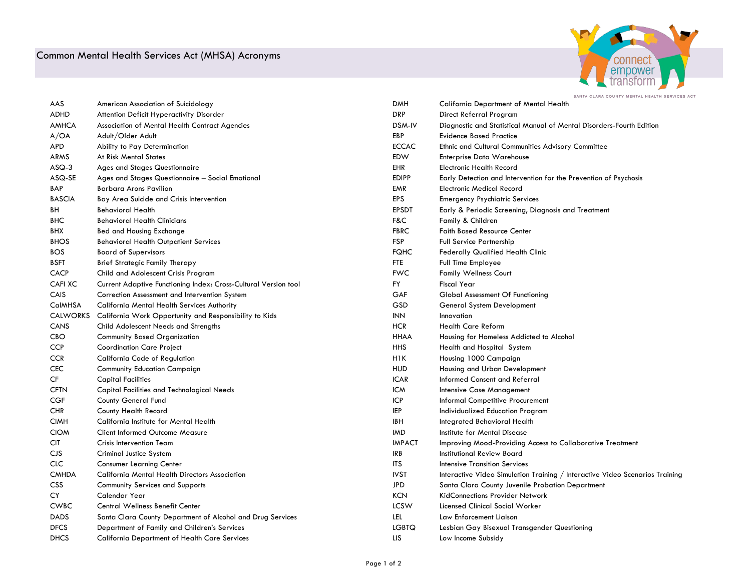## Common Mental Health Services Act (MHSA) Acronyms



| AAS             | American Association of Suicidology                             | <b>DMH</b>       | <b>California Department of Mental Health</b>                                |
|-----------------|-----------------------------------------------------------------|------------------|------------------------------------------------------------------------------|
| ADHD            | Attention Deficit Hyperactivity Disorder                        | <b>DRP</b>       | Direct Referral Program                                                      |
| <b>AMHCA</b>    | Association of Mental Health Contract Agencies                  | DSM-IV           | Diagnostic and Statistical Manual of Mental Disorders-Fourth Edition         |
| A/OA            | Adult/Older Adult                                               | EBP              | <b>Evidence Based Practice</b>                                               |
| APD             | Ability to Pay Determination                                    | <b>ECCAC</b>     | Ethnic and Cultural Communities Advisory Committee                           |
| ARMS            | At Risk Mental States                                           | EDW              | <b>Enterprise Data Warehouse</b>                                             |
| $ASQ-3$         | Ages and Stages Questionnaire                                   | EHR              | <b>Electronic Health Record</b>                                              |
| ASQ-SE          | Ages and Stages Questionnaire - Social Emotional                | <b>EDIPP</b>     | Early Detection and Intervention for the Prevention of Psychosis             |
| BAP             | <b>Barbara Arons Pavilion</b>                                   | EMR              | <b>Electronic Medical Record</b>                                             |
| <b>BASCIA</b>   | Bay Area Suicide and Crisis Intervention                        | <b>EPS</b>       | <b>Emergency Psychiatric Services</b>                                        |
| BH              | <b>Behavioral Health</b>                                        | <b>EPSDT</b>     | Early & Periodic Screening, Diagnosis and Treatment                          |
| <b>BHC</b>      | <b>Behavioral Health Clinicians</b>                             | F&C              | Family & Children                                                            |
| BHX             | <b>Bed and Housing Exchange</b>                                 | <b>FBRC</b>      | <b>Faith Based Resource Center</b>                                           |
| <b>BHOS</b>     | <b>Behavioral Health Outpatient Services</b>                    | <b>FSP</b>       | Full Service Partnership                                                     |
| <b>BOS</b>      | <b>Board of Supervisors</b>                                     | <b>FQHC</b>      | <b>Federally Qualified Health Clinic</b>                                     |
| <b>BSFT</b>     | <b>Brief Strategic Family Therapy</b>                           | <b>FTE</b>       | Full Time Employee                                                           |
| <b>CACP</b>     | Child and Adolescent Crisis Program                             | <b>FWC</b>       | <b>Family Wellness Court</b>                                                 |
| <b>CAFI XC</b>  | Current Adaptive Functioning Index: Cross-Cultural Version tool | FY.              | <b>Fiscal Year</b>                                                           |
| CAIS            | Correction Assessment and Intervention System                   | GAF              | Global Assessment Of Functioning                                             |
| <b>CalMHSA</b>  | California Mental Health Services Authority                     | GSD              | General System Development                                                   |
| <b>CALWORKS</b> | California Work Opportunity and Responsibility to Kids          | $\textsf{INN}$   | Innovation                                                                   |
| CANS            | Child Adolescent Needs and Strengths                            | <b>HCR</b>       | <b>Health Care Reform</b>                                                    |
| CBO             | <b>Community Based Organization</b>                             | <b>HHAA</b>      | Housing for Homeless Addicted to Alcohol                                     |
| <b>CCP</b>      | <b>Coordination Care Project</b>                                | <b>HHS</b>       | Health and Hospital System                                                   |
| <b>CCR</b>      | California Code of Regulation                                   | H <sub>1</sub> K | Housing 1000 Campaign                                                        |
| <b>CEC</b>      | <b>Community Education Campaign</b>                             | <b>HUD</b>       | Housing and Urban Development                                                |
| CF              | <b>Capital Facilities</b>                                       | <b>ICAR</b>      | Informed Consent and Referral                                                |
| <b>CFTN</b>     | <b>Capital Facilities and Technological Needs</b>               | <b>ICW</b>       | Intensive Case Management                                                    |
| <b>CGF</b>      | County General Fund                                             | ICP              | Informal Competitive Procurement                                             |
| <b>CHR</b>      | County Health Record                                            | <b>IEP</b>       | Individualized Education Program                                             |
| <b>CIMH</b>     | California Institute for Mental Health                          | <b>IBH</b>       | Integrated Behavioral Health                                                 |
| <b>CIOM</b>     | <b>Client Informed Outcome Measure</b>                          | <b>IMD</b>       | Institute for Mental Disease                                                 |
| <b>CIT</b>      | <b>Crisis Intervention Team</b>                                 | <b>IMPACT</b>    | Improving Mood-Providing Access to Collaborative Treatment                   |
| <b>CJS</b>      | Criminal Justice System                                         | IRB              | Institutional Review Board                                                   |
| <b>CLC</b>      | <b>Consumer Learning Center</b>                                 | <b>ITS</b>       | <b>Intensive Transition Services</b>                                         |
| <b>CMHDA</b>    | California Mental Health Directors Association                  | <b>IVST</b>      | Interactive Video Simulation Training / Interactive Video Scenarios Training |
| <b>CSS</b>      | <b>Community Services and Supports</b>                          | <b>JPD</b>       | Santa Clara County Juvenile Probation Department                             |
| <b>CY</b>       | Calendar Year                                                   | <b>KCN</b>       | KidConnections Provider Network                                              |
| <b>CWBC</b>     | Central Wellness Benefit Center                                 | <b>LCSW</b>      | Licensed Clinical Social Worker                                              |
| <b>DADS</b>     | Santa Clara County Department of Alcohol and Drug Services      | LEL              | Law Enforcement Liaison                                                      |
| <b>DFCS</b>     | Department of Family and Children's Services                    | <b>LGBTQ</b>     | Lesbian Gay Bisexual Transgender Questioning                                 |
| <b>DHCS</b>     | <b>California Department of Health Care Services</b>            | LIS              | Low Income Subsidy                                                           |